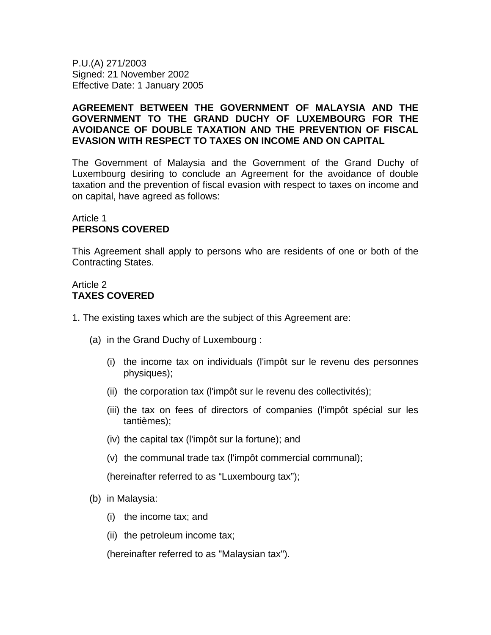P.U.(A) 271/2003 Signed: 21 November 2002 Effective Date: 1 January 2005

### **AGREEMENT BETWEEN THE GOVERNMENT OF MALAYSIA AND THE GOVERNMENT TO THE GRAND DUCHY OF LUXEMBOURG FOR THE AVOIDANCE OF DOUBLE TAXATION AND THE PREVENTION OF FISCAL EVASION WITH RESPECT TO TAXES ON INCOME AND ON CAPITAL**

The Government of Malaysia and the Government of the Grand Duchy of Luxembourg desiring to conclude an Agreement for the avoidance of double taxation and the prevention of fiscal evasion with respect to taxes on income and on capital, have agreed as follows:

### Article 1 **PERSONS COVERED**

This Agreement shall apply to persons who are residents of one or both of the Contracting States.

# Article 2 **TAXES COVERED**

- 1. The existing taxes which are the subject of this Agreement are:
	- (a) in the Grand Duchy of Luxembourg :
		- (i) the income tax on individuals (l'impôt sur le revenu des personnes physiques);
		- (ii) the corporation tax (l'impôt sur le revenu des collectivités);
		- (iii) the tax on fees of directors of companies (l'impôt spécial sur les tantièmes);
		- (iv) the capital tax (l'impôt sur la fortune); and
		- (v) the communal trade tax (l'impôt commercial communal);

(hereinafter referred to as "Luxembourg tax");

- (b) in Malaysia:
	- (i) the income tax; and
	- (ii) the petroleum income tax;

(hereinafter referred to as "Malaysian tax").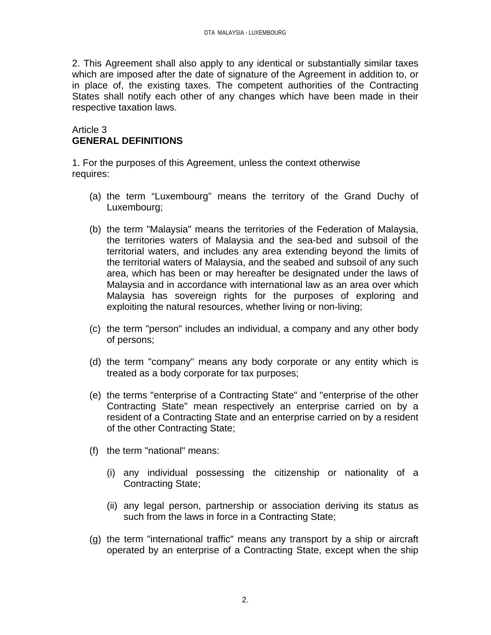2. This Agreement shall also apply to any identical or substantially similar taxes which are imposed after the date of signature of the Agreement in addition to, or in place of, the existing taxes. The competent authorities of the Contracting States shall notify each other of any changes which have been made in their respective taxation laws.

### Article 3 **GENERAL DEFINITIONS**

1. For the purposes of this Agreement, unless the context otherwise requires:

- (a) the term "Luxembourg" means the territory of the Grand Duchy of Luxembourg;
- (b) the term "Malaysia" means the territories of the Federation of Malaysia, the territories waters of Malaysia and the sea-bed and subsoil of the territorial waters, and includes any area extending beyond the limits of the territorial waters of Malaysia, and the seabed and subsoil of any such area, which has been or may hereafter be designated under the laws of Malaysia and in accordance with international law as an area over which Malaysia has sovereign rights for the purposes of exploring and exploiting the natural resources, whether living or non-living;
- (c) the term "person" includes an individual, a company and any other body of persons;
- (d) the term "company" means any body corporate or any entity which is treated as a body corporate for tax purposes;
- (e) the terms "enterprise of a Contracting State" and "enterprise of the other Contracting State" mean respectively an enterprise carried on by a resident of a Contracting State and an enterprise carried on by a resident of the other Contracting State;
- (f) the term "national" means:
	- (i) any individual possessing the citizenship or nationality of a Contracting State;
	- (ii) any legal person, partnership or association deriving its status as such from the laws in force in a Contracting State;
- (g) the term "international traffic" means any transport by a ship or aircraft operated by an enterprise of a Contracting State, except when the ship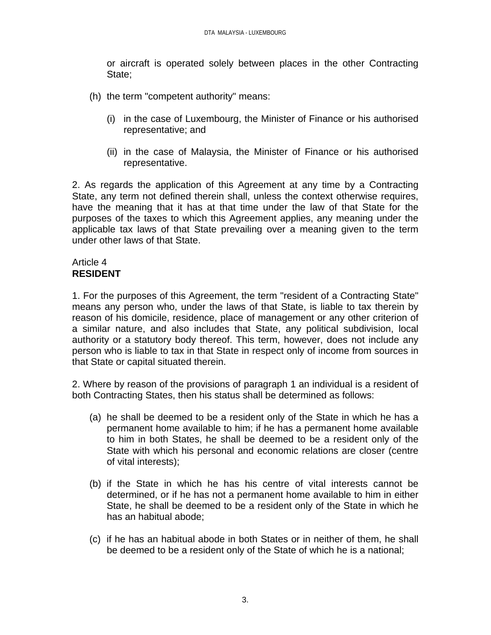or aircraft is operated solely between places in the other Contracting State;

- (h) the term "competent authority" means:
	- (i) in the case of Luxembourg, the Minister of Finance or his authorised representative; and
	- (ii) in the case of Malaysia, the Minister of Finance or his authorised representative.

2. As regards the application of this Agreement at any time by a Contracting State, any term not defined therein shall, unless the context otherwise requires, have the meaning that it has at that time under the law of that State for the purposes of the taxes to which this Agreement applies, any meaning under the applicable tax laws of that State prevailing over a meaning given to the term under other laws of that State.

#### Article 4 **RESIDENT**

1. For the purposes of this Agreement, the term "resident of a Contracting State" means any person who, under the laws of that State, is liable to tax therein by reason of his domicile, residence, place of management or any other criterion of a similar nature, and also includes that State, any political subdivision, local authority or a statutory body thereof. This term, however, does not include any person who is liable to tax in that State in respect only of income from sources in that State or capital situated therein.

2. Where by reason of the provisions of paragraph 1 an individual is a resident of both Contracting States, then his status shall be determined as follows:

- (a) he shall be deemed to be a resident only of the State in which he has a permanent home available to him; if he has a permanent home available to him in both States, he shall be deemed to be a resident only of the State with which his personal and economic relations are closer (centre of vital interests);
- (b) if the State in which he has his centre of vital interests cannot be determined, or if he has not a permanent home available to him in either State, he shall be deemed to be a resident only of the State in which he has an habitual abode;
- (c) if he has an habitual abode in both States or in neither of them, he shall be deemed to be a resident only of the State of which he is a national;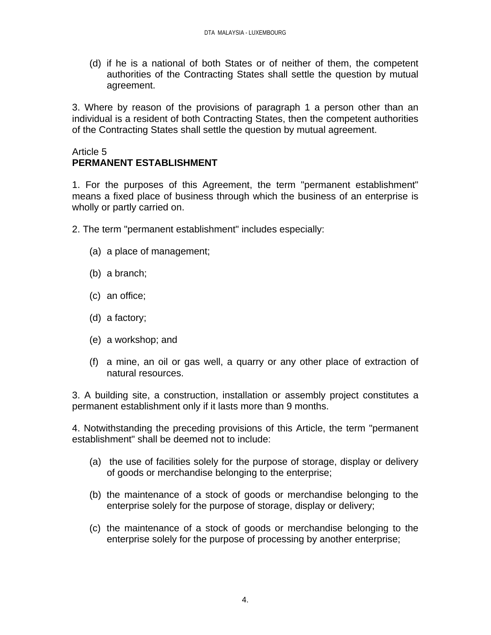(d) if he is a national of both States or of neither of them, the competent authorities of the Contracting States shall settle the question by mutual agreement.

3. Where by reason of the provisions of paragraph 1 a person other than an individual is a resident of both Contracting States, then the competent authorities of the Contracting States shall settle the question by mutual agreement.

#### Article 5 **PERMANENT ESTABLISHMENT**

1. For the purposes of this Agreement, the term "permanent establishment" means a fixed place of business through which the business of an enterprise is wholly or partly carried on.

2. The term "permanent establishment" includes especially:

- (a) a place of management;
- (b) a branch;
- (c) an office;
- (d) a factory;
- (e) a workshop; and
- (f) a mine, an oil or gas well, a quarry or any other place of extraction of natural resources.

3. A building site, a construction, installation or assembly project constitutes a permanent establishment only if it lasts more than 9 months.

4. Notwithstanding the preceding provisions of this Article, the term "permanent establishment" shall be deemed not to include:

- (a) the use of facilities solely for the purpose of storage, display or delivery of goods or merchandise belonging to the enterprise;
- (b) the maintenance of a stock of goods or merchandise belonging to the enterprise solely for the purpose of storage, display or delivery;
- (c) the maintenance of a stock of goods or merchandise belonging to the enterprise solely for the purpose of processing by another enterprise;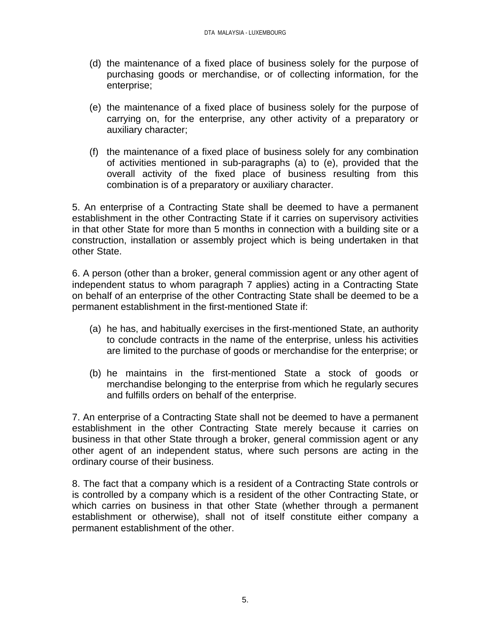- (d) the maintenance of a fixed place of business solely for the purpose of purchasing goods or merchandise, or of collecting information, for the enterprise;
- (e) the maintenance of a fixed place of business solely for the purpose of carrying on, for the enterprise, any other activity of a preparatory or auxiliary character;
- (f) the maintenance of a fixed place of business solely for any combination of activities mentioned in sub-paragraphs (a) to (e), provided that the overall activity of the fixed place of business resulting from this combination is of a preparatory or auxiliary character.

5. An enterprise of a Contracting State shall be deemed to have a permanent establishment in the other Contracting State if it carries on supervisory activities in that other State for more than 5 months in connection with a building site or a construction, installation or assembly project which is being undertaken in that other State.

6. A person (other than a broker, general commission agent or any other agent of independent status to whom paragraph 7 applies) acting in a Contracting State on behalf of an enterprise of the other Contracting State shall be deemed to be a permanent establishment in the first-mentioned State if:

- (a) he has, and habitually exercises in the first-mentioned State, an authority to conclude contracts in the name of the enterprise, unless his activities are limited to the purchase of goods or merchandise for the enterprise; or
- (b) he maintains in the first-mentioned State a stock of goods or merchandise belonging to the enterprise from which he regularly secures and fulfills orders on behalf of the enterprise.

7. An enterprise of a Contracting State shall not be deemed to have a permanent establishment in the other Contracting State merely because it carries on business in that other State through a broker, general commission agent or any other agent of an independent status, where such persons are acting in the ordinary course of their business.

8. The fact that a company which is a resident of a Contracting State controls or is controlled by a company which is a resident of the other Contracting State, or which carries on business in that other State (whether through a permanent establishment or otherwise), shall not of itself constitute either company a permanent establishment of the other.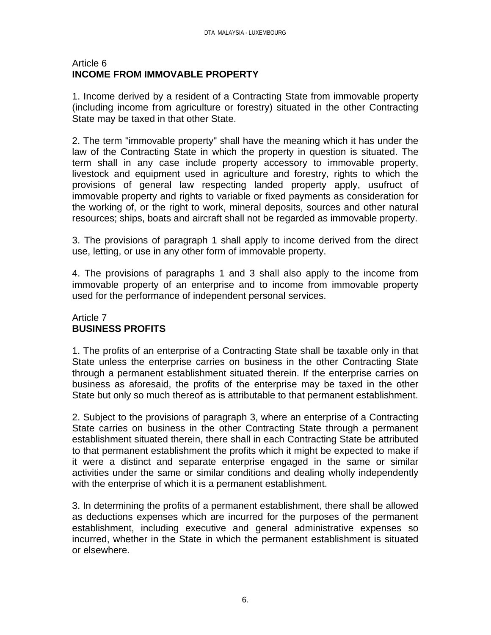#### Article 6 **INCOME FROM IMMOVABLE PROPERTY**

1. Income derived by a resident of a Contracting State from immovable property (including income from agriculture or forestry) situated in the other Contracting State may be taxed in that other State.

2. The term "immovable property" shall have the meaning which it has under the law of the Contracting State in which the property in question is situated. The term shall in any case include property accessory to immovable property, livestock and equipment used in agriculture and forestry, rights to which the provisions of general law respecting landed property apply, usufruct of immovable property and rights to variable or fixed payments as consideration for the working of, or the right to work, mineral deposits, sources and other natural resources; ships, boats and aircraft shall not be regarded as immovable property.

3. The provisions of paragraph 1 shall apply to income derived from the direct use, letting, or use in any other form of immovable property.

4. The provisions of paragraphs 1 and 3 shall also apply to the income from immovable property of an enterprise and to income from immovable property used for the performance of independent personal services.

# Article 7 **BUSINESS PROFITS**

1. The profits of an enterprise of a Contracting State shall be taxable only in that State unless the enterprise carries on business in the other Contracting State through a permanent establishment situated therein. If the enterprise carries on business as aforesaid, the profits of the enterprise may be taxed in the other State but only so much thereof as is attributable to that permanent establishment.

2. Subject to the provisions of paragraph 3, where an enterprise of a Contracting State carries on business in the other Contracting State through a permanent establishment situated therein, there shall in each Contracting State be attributed to that permanent establishment the profits which it might be expected to make if it were a distinct and separate enterprise engaged in the same or similar activities under the same or similar conditions and dealing wholly independently with the enterprise of which it is a permanent establishment.

3. In determining the profits of a permanent establishment, there shall be allowed as deductions expenses which are incurred for the purposes of the permanent establishment, including executive and general administrative expenses so incurred, whether in the State in which the permanent establishment is situated or elsewhere.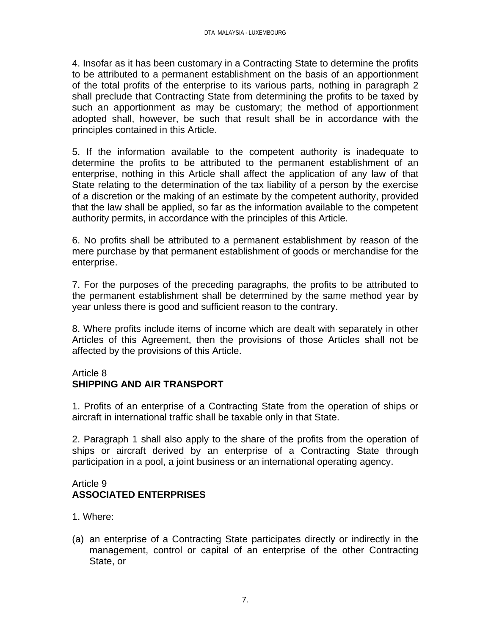4. Insofar as it has been customary in a Contracting State to determine the profits to be attributed to a permanent establishment on the basis of an apportionment of the total profits of the enterprise to its various parts, nothing in paragraph 2 shall preclude that Contracting State from determining the profits to be taxed by such an apportionment as may be customary; the method of apportionment adopted shall, however, be such that result shall be in accordance with the principles contained in this Article.

5. If the information available to the competent authority is inadequate to determine the profits to be attributed to the permanent establishment of an enterprise, nothing in this Article shall affect the application of any law of that State relating to the determination of the tax liability of a person by the exercise of a discretion or the making of an estimate by the competent authority, provided that the law shall be applied, so far as the information available to the competent authority permits, in accordance with the principles of this Article.

6. No profits shall be attributed to a permanent establishment by reason of the mere purchase by that permanent establishment of goods or merchandise for the enterprise.

7. For the purposes of the preceding paragraphs, the profits to be attributed to the permanent establishment shall be determined by the same method year by year unless there is good and sufficient reason to the contrary.

8. Where profits include items of income which are dealt with separately in other Articles of this Agreement, then the provisions of those Articles shall not be affected by the provisions of this Article.

#### Article 8 **SHIPPING AND AIR TRANSPORT**

1. Profits of an enterprise of a Contracting State from the operation of ships or aircraft in international traffic shall be taxable only in that State.

2. Paragraph 1 shall also apply to the share of the profits from the operation of ships or aircraft derived by an enterprise of a Contracting State through participation in a pool, a joint business or an international operating agency.

# Article 9 **ASSOCIATED ENTERPRISES**

- 1. Where:
- (a) an enterprise of a Contracting State participates directly or indirectly in the management, control or capital of an enterprise of the other Contracting State, or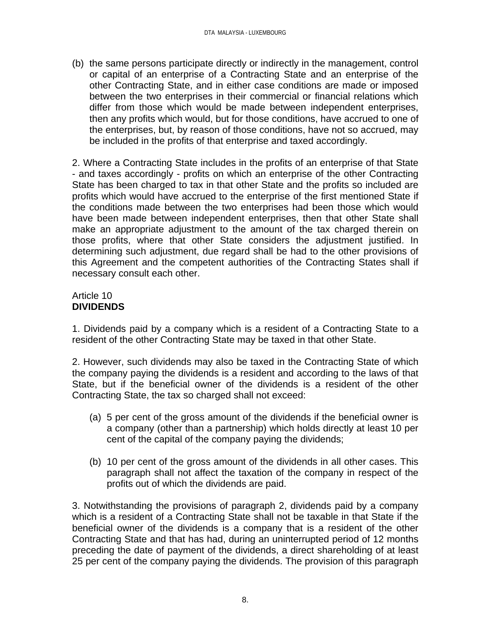(b) the same persons participate directly or indirectly in the management, control or capital of an enterprise of a Contracting State and an enterprise of the other Contracting State, and in either case conditions are made or imposed between the two enterprises in their commercial or financial relations which differ from those which would be made between independent enterprises, then any profits which would, but for those conditions, have accrued to one of the enterprises, but, by reason of those conditions, have not so accrued, may be included in the profits of that enterprise and taxed accordingly.

2. Where a Contracting State includes in the profits of an enterprise of that State - and taxes accordingly - profits on which an enterprise of the other Contracting State has been charged to tax in that other State and the profits so included are profits which would have accrued to the enterprise of the first mentioned State if the conditions made between the two enterprises had been those which would have been made between independent enterprises, then that other State shall make an appropriate adjustment to the amount of the tax charged therein on those profits, where that other State considers the adjustment justified. In determining such adjustment, due regard shall be had to the other provisions of this Agreement and the competent authorities of the Contracting States shall if necessary consult each other.

# Article 10 **DIVIDENDS**

1. Dividends paid by a company which is a resident of a Contracting State to a resident of the other Contracting State may be taxed in that other State.

2. However, such dividends may also be taxed in the Contracting State of which the company paying the dividends is a resident and according to the laws of that State, but if the beneficial owner of the dividends is a resident of the other Contracting State, the tax so charged shall not exceed:

- (a) 5 per cent of the gross amount of the dividends if the beneficial owner is a company (other than a partnership) which holds directly at least 10 per cent of the capital of the company paying the dividends;
- (b) 10 per cent of the gross amount of the dividends in all other cases. This paragraph shall not affect the taxation of the company in respect of the profits out of which the dividends are paid.

3. Notwithstanding the provisions of paragraph 2, dividends paid by a company which is a resident of a Contracting State shall not be taxable in that State if the beneficial owner of the dividends is a company that is a resident of the other Contracting State and that has had, during an uninterrupted period of 12 months preceding the date of payment of the dividends, a direct shareholding of at least 25 per cent of the company paying the dividends. The provision of this paragraph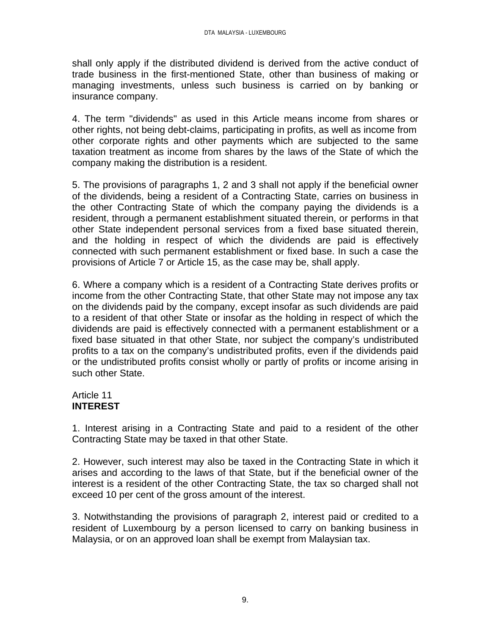shall only apply if the distributed dividend is derived from the active conduct of trade business in the first-mentioned State, other than business of making or managing investments, unless such business is carried on by banking or insurance company.

4. The term "dividends" as used in this Article means income from shares or other rights, not being debt-claims, participating in profits, as well as income from other corporate rights and other payments which are subjected to the same taxation treatment as income from shares by the laws of the State of which the company making the distribution is a resident.

5. The provisions of paragraphs 1, 2 and 3 shall not apply if the beneficial owner of the dividends, being a resident of a Contracting State, carries on business in the other Contracting State of which the company paying the dividends is a resident, through a permanent establishment situated therein, or performs in that other State independent personal services from a fixed base situated therein, and the holding in respect of which the dividends are paid is effectively connected with such permanent establishment or fixed base. In such a case the provisions of Article 7 or Article 15, as the case may be, shall apply.

6. Where a company which is a resident of a Contracting State derives profits or income from the other Contracting State, that other State may not impose any tax on the dividends paid by the company, except insofar as such dividends are paid to a resident of that other State or insofar as the holding in respect of which the dividends are paid is effectively connected with a permanent establishment or a fixed base situated in that other State, nor subject the company's undistributed profits to a tax on the company's undistributed profits, even if the dividends paid or the undistributed profits consist wholly or partly of profits or income arising in such other State.

# Article 11 **INTEREST**

1. Interest arising in a Contracting State and paid to a resident of the other Contracting State may be taxed in that other State.

2. However, such interest may also be taxed in the Contracting State in which it arises and according to the laws of that State, but if the beneficial owner of the interest is a resident of the other Contracting State, the tax so charged shall not exceed 10 per cent of the gross amount of the interest.

3. Notwithstanding the provisions of paragraph 2, interest paid or credited to a resident of Luxembourg by a person licensed to carry on banking business in Malaysia, or on an approved loan shall be exempt from Malaysian tax.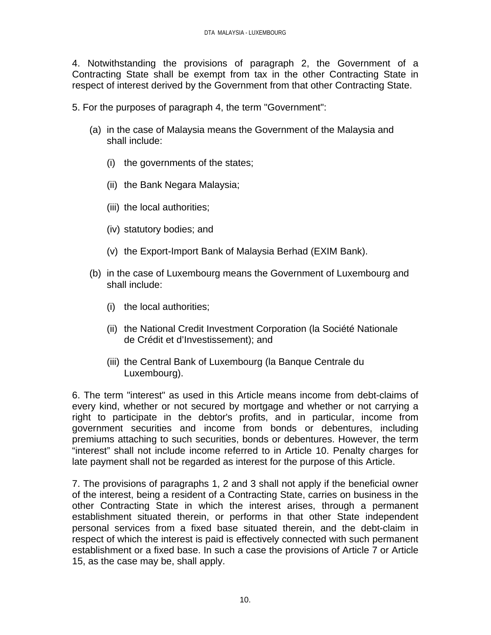4. Notwithstanding the provisions of paragraph 2, the Government of a Contracting State shall be exempt from tax in the other Contracting State in respect of interest derived by the Government from that other Contracting State.

5. For the purposes of paragraph 4, the term "Government":

- (a) in the case of Malaysia means the Government of the Malaysia and shall include:
	- (i) the governments of the states;
	- (ii) the Bank Negara Malaysia;
	- (iii) the local authorities;
	- (iv) statutory bodies; and
	- (v) the Export-Import Bank of Malaysia Berhad (EXIM Bank).
- (b) in the case of Luxembourg means the Government of Luxembourg and shall include:
	- (i) the local authorities;
	- (ii) the National Credit Investment Corporation (la Société Nationale de Crédit et d'Investissement); and
	- (iii) the Central Bank of Luxembourg (la Banque Centrale du Luxembourg).

6. The term "interest" as used in this Article means income from debt-claims of every kind, whether or not secured by mortgage and whether or not carrying a right to participate in the debtor's profits, and in particular, income from government securities and income from bonds or debentures, including premiums attaching to such securities, bonds or debentures. However, the term "interest" shall not include income referred to in Article 10. Penalty charges for late payment shall not be regarded as interest for the purpose of this Article.

7. The provisions of paragraphs 1, 2 and 3 shall not apply if the beneficial owner of the interest, being a resident of a Contracting State, carries on business in the other Contracting State in which the interest arises, through a permanent establishment situated therein, or performs in that other State independent personal services from a fixed base situated therein, and the debt-claim in respect of which the interest is paid is effectively connected with such permanent establishment or a fixed base. In such a case the provisions of Article 7 or Article 15, as the case may be, shall apply.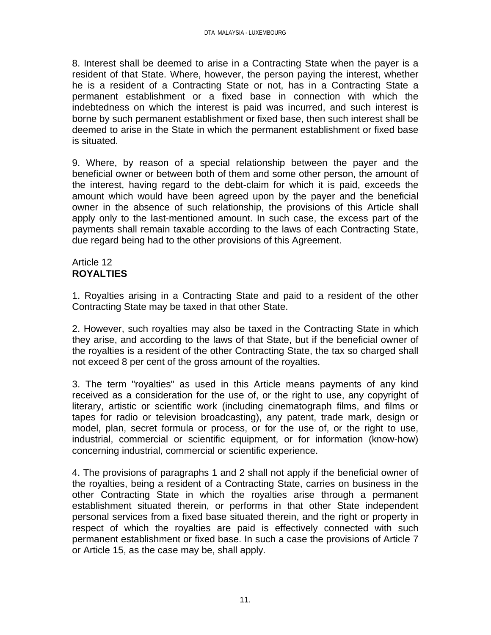8. Interest shall be deemed to arise in a Contracting State when the payer is a resident of that State. Where, however, the person paying the interest, whether he is a resident of a Contracting State or not, has in a Contracting State a permanent establishment or a fixed base in connection with which the indebtedness on which the interest is paid was incurred, and such interest is borne by such permanent establishment or fixed base, then such interest shall be deemed to arise in the State in which the permanent establishment or fixed base is situated.

9. Where, by reason of a special relationship between the payer and the beneficial owner or between both of them and some other person, the amount of the interest, having regard to the debt-claim for which it is paid, exceeds the amount which would have been agreed upon by the payer and the beneficial owner in the absence of such relationship, the provisions of this Article shall apply only to the last-mentioned amount. In such case, the excess part of the payments shall remain taxable according to the laws of each Contracting State, due regard being had to the other provisions of this Agreement.

# Article 12 **ROYALTIES**

1. Royalties arising in a Contracting State and paid to a resident of the other Contracting State may be taxed in that other State.

2. However, such royalties may also be taxed in the Contracting State in which they arise, and according to the laws of that State, but if the beneficial owner of the royalties is a resident of the other Contracting State, the tax so charged shall not exceed 8 per cent of the gross amount of the royalties.

3. The term "royalties" as used in this Article means payments of any kind received as a consideration for the use of, or the right to use, any copyright of literary, artistic or scientific work (including cinematograph films, and films or tapes for radio or television broadcasting), any patent, trade mark, design or model, plan, secret formula or process, or for the use of, or the right to use, industrial, commercial or scientific equipment, or for information (know-how) concerning industrial, commercial or scientific experience.

4. The provisions of paragraphs 1 and 2 shall not apply if the beneficial owner of the royalties, being a resident of a Contracting State, carries on business in the other Contracting State in which the royalties arise through a permanent establishment situated therein, or performs in that other State independent personal services from a fixed base situated therein, and the right or property in respect of which the royalties are paid is effectively connected with such permanent establishment or fixed base. In such a case the provisions of Article 7 or Article 15, as the case may be, shall apply.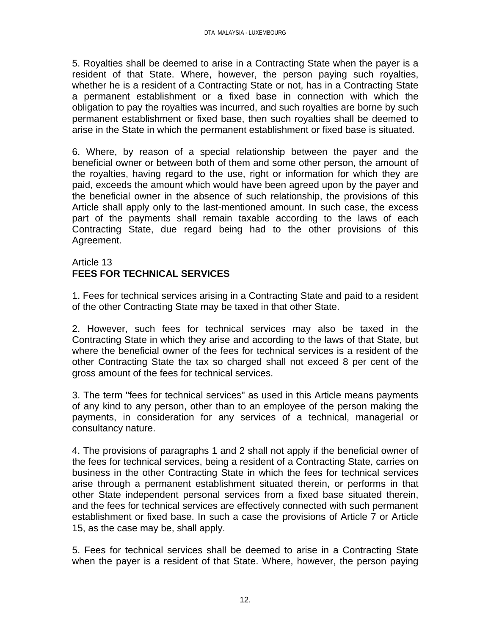5. Royalties shall be deemed to arise in a Contracting State when the payer is a resident of that State. Where, however, the person paying such royalties, whether he is a resident of a Contracting State or not, has in a Contracting State a permanent establishment or a fixed base in connection with which the obligation to pay the royalties was incurred, and such royalties are borne by such permanent establishment or fixed base, then such royalties shall be deemed to arise in the State in which the permanent establishment or fixed base is situated.

6. Where, by reason of a special relationship between the payer and the beneficial owner or between both of them and some other person, the amount of the royalties, having regard to the use, right or information for which they are paid, exceeds the amount which would have been agreed upon by the payer and the beneficial owner in the absence of such relationship, the provisions of this Article shall apply only to the last-mentioned amount. In such case, the excess part of the payments shall remain taxable according to the laws of each Contracting State, due regard being had to the other provisions of this Agreement.

# Article 13 **FEES FOR TECHNICAL SERVICES**

1. Fees for technical services arising in a Contracting State and paid to a resident of the other Contracting State may be taxed in that other State.

2. However, such fees for technical services may also be taxed in the Contracting State in which they arise and according to the laws of that State, but where the beneficial owner of the fees for technical services is a resident of the other Contracting State the tax so charged shall not exceed 8 per cent of the gross amount of the fees for technical services.

3. The term "fees for technical services" as used in this Article means payments of any kind to any person, other than to an employee of the person making the payments, in consideration for any services of a technical, managerial or consultancy nature.

4. The provisions of paragraphs 1 and 2 shall not apply if the beneficial owner of the fees for technical services, being a resident of a Contracting State, carries on business in the other Contracting State in which the fees for technical services arise through a permanent establishment situated therein, or performs in that other State independent personal services from a fixed base situated therein, and the fees for technical services are effectively connected with such permanent establishment or fixed base. In such a case the provisions of Article 7 or Article 15, as the case may be, shall apply.

5. Fees for technical services shall be deemed to arise in a Contracting State when the payer is a resident of that State. Where, however, the person paying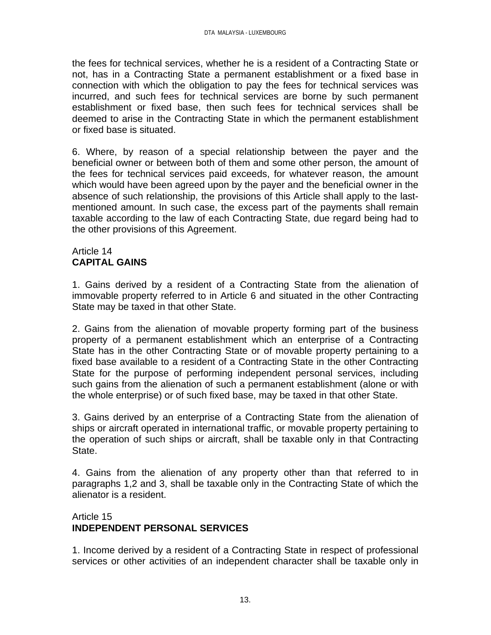the fees for technical services, whether he is a resident of a Contracting State or not, has in a Contracting State a permanent establishment or a fixed base in connection with which the obligation to pay the fees for technical services was incurred, and such fees for technical services are borne by such permanent establishment or fixed base, then such fees for technical services shall be deemed to arise in the Contracting State in which the permanent establishment or fixed base is situated.

6. Where, by reason of a special relationship between the payer and the beneficial owner or between both of them and some other person, the amount of the fees for technical services paid exceeds, for whatever reason, the amount which would have been agreed upon by the payer and the beneficial owner in the absence of such relationship, the provisions of this Article shall apply to the lastmentioned amount. In such case, the excess part of the payments shall remain taxable according to the law of each Contracting State, due regard being had to the other provisions of this Agreement.

### Article 14 **CAPITAL GAINS**

1. Gains derived by a resident of a Contracting State from the alienation of immovable property referred to in Article 6 and situated in the other Contracting State may be taxed in that other State.

2. Gains from the alienation of movable property forming part of the business property of a permanent establishment which an enterprise of a Contracting State has in the other Contracting State or of movable property pertaining to a fixed base available to a resident of a Contracting State in the other Contracting State for the purpose of performing independent personal services, including such gains from the alienation of such a permanent establishment (alone or with the whole enterprise) or of such fixed base, may be taxed in that other State.

3. Gains derived by an enterprise of a Contracting State from the alienation of ships or aircraft operated in international traffic, or movable property pertaining to the operation of such ships or aircraft, shall be taxable only in that Contracting State.

4. Gains from the alienation of any property other than that referred to in paragraphs 1,2 and 3, shall be taxable only in the Contracting State of which the alienator is a resident.

# Article 15 **INDEPENDENT PERSONAL SERVICES**

1. Income derived by a resident of a Contracting State in respect of professional services or other activities of an independent character shall be taxable only in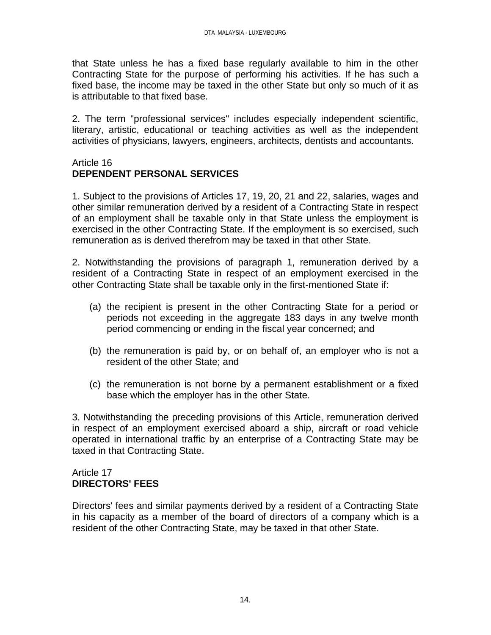that State unless he has a fixed base regularly available to him in the other Contracting State for the purpose of performing his activities. If he has such a fixed base, the income may be taxed in the other State but only so much of it as is attributable to that fixed base.

2. The term "professional services" includes especially independent scientific, literary, artistic, educational or teaching activities as well as the independent activities of physicians, lawyers, engineers, architects, dentists and accountants.

### Article 16 **DEPENDENT PERSONAL SERVICES**

1. Subject to the provisions of Articles 17, 19, 20, 21 and 22, salaries, wages and other similar remuneration derived by a resident of a Contracting State in respect of an employment shall be taxable only in that State unless the employment is exercised in the other Contracting State. If the employment is so exercised, such remuneration as is derived therefrom may be taxed in that other State.

2. Notwithstanding the provisions of paragraph 1, remuneration derived by a resident of a Contracting State in respect of an employment exercised in the other Contracting State shall be taxable only in the first-mentioned State if:

- (a) the recipient is present in the other Contracting State for a period or periods not exceeding in the aggregate 183 days in any twelve month period commencing or ending in the fiscal year concerned; and
- (b) the remuneration is paid by, or on behalf of, an employer who is not a resident of the other State; and
- (c) the remuneration is not borne by a permanent establishment or a fixed base which the employer has in the other State.

3. Notwithstanding the preceding provisions of this Article, remuneration derived in respect of an employment exercised aboard a ship, aircraft or road vehicle operated in international traffic by an enterprise of a Contracting State may be taxed in that Contracting State.

### Article 17 **DIRECTORS' FEES**

Directors' fees and similar payments derived by a resident of a Contracting State in his capacity as a member of the board of directors of a company which is a resident of the other Contracting State, may be taxed in that other State.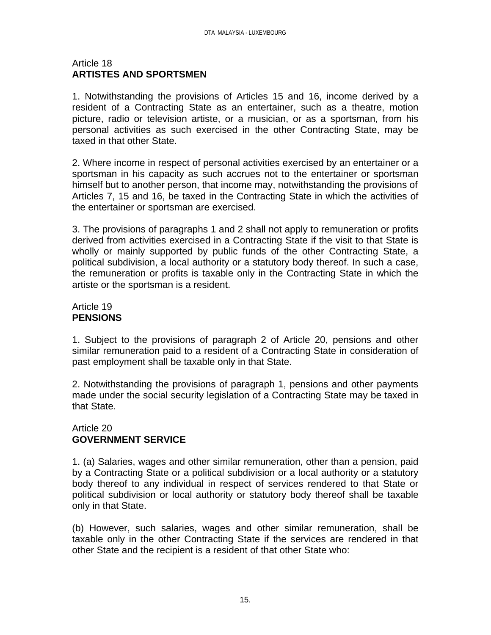### Article 18 **ARTISTES AND SPORTSMEN**

1. Notwithstanding the provisions of Articles 15 and 16, income derived by a resident of a Contracting State as an entertainer, such as a theatre, motion picture, radio or television artiste, or a musician, or as a sportsman, from his personal activities as such exercised in the other Contracting State, may be taxed in that other State.

2. Where income in respect of personal activities exercised by an entertainer or a sportsman in his capacity as such accrues not to the entertainer or sportsman himself but to another person, that income may, notwithstanding the provisions of Articles 7, 15 and 16, be taxed in the Contracting State in which the activities of the entertainer or sportsman are exercised.

3. The provisions of paragraphs 1 and 2 shall not apply to remuneration or profits derived from activities exercised in a Contracting State if the visit to that State is wholly or mainly supported by public funds of the other Contracting State, a political subdivision, a local authority or a statutory body thereof. In such a case, the remuneration or profits is taxable only in the Contracting State in which the artiste or the sportsman is a resident.

# Article 19 **PENSIONS**

1. Subject to the provisions of paragraph 2 of Article 20, pensions and other similar remuneration paid to a resident of a Contracting State in consideration of past employment shall be taxable only in that State.

2. Notwithstanding the provisions of paragraph 1, pensions and other payments made under the social security legislation of a Contracting State may be taxed in that State.

# Article 20 **GOVERNMENT SERVICE**

1. (a) Salaries, wages and other similar remuneration, other than a pension, paid by a Contracting State or a political subdivision or a local authority or a statutory body thereof to any individual in respect of services rendered to that State or political subdivision or local authority or statutory body thereof shall be taxable only in that State.

(b) However, such salaries, wages and other similar remuneration, shall be taxable only in the other Contracting State if the services are rendered in that other State and the recipient is a resident of that other State who: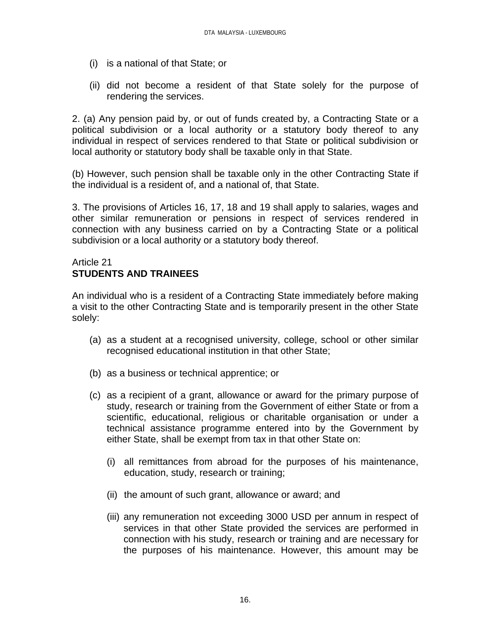- (i) is a national of that State; or
- (ii) did not become a resident of that State solely for the purpose of rendering the services.

2. (a) Any pension paid by, or out of funds created by, a Contracting State or a political subdivision or a local authority or a statutory body thereof to any individual in respect of services rendered to that State or political subdivision or local authority or statutory body shall be taxable only in that State.

(b) However, such pension shall be taxable only in the other Contracting State if the individual is a resident of, and a national of, that State.

3. The provisions of Articles 16, 17, 18 and 19 shall apply to salaries, wages and other similar remuneration or pensions in respect of services rendered in connection with any business carried on by a Contracting State or a political subdivision or a local authority or a statutory body thereof.

### Article 21 **STUDENTS AND TRAINEES**

An individual who is a resident of a Contracting State immediately before making a visit to the other Contracting State and is temporarily present in the other State solely:

- (a) as a student at a recognised university, college, school or other similar recognised educational institution in that other State;
- (b) as a business or technical apprentice; or
- (c) as a recipient of a grant, allowance or award for the primary purpose of study, research or training from the Government of either State or from a scientific, educational, religious or charitable organisation or under a technical assistance programme entered into by the Government by either State, shall be exempt from tax in that other State on:
	- (i) all remittances from abroad for the purposes of his maintenance, education, study, research or training;
	- (ii) the amount of such grant, allowance or award; and
	- (iii) any remuneration not exceeding 3000 USD per annum in respect of services in that other State provided the services are performed in connection with his study, research or training and are necessary for the purposes of his maintenance. However, this amount may be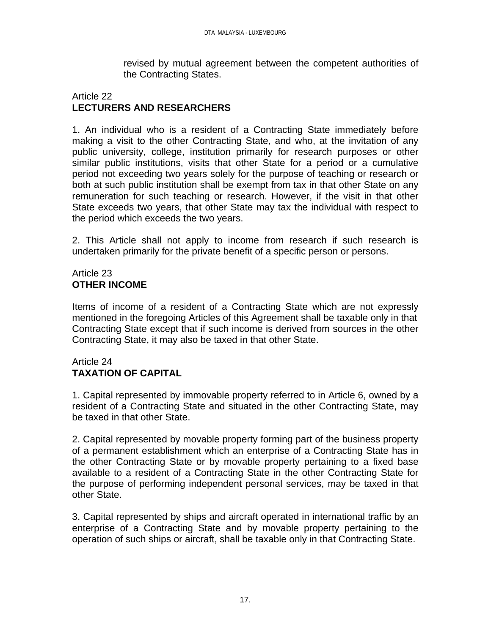revised by mutual agreement between the competent authorities of the Contracting States.

# Article 22 **LECTURERS AND RESEARCHERS**

1. An individual who is a resident of a Contracting State immediately before making a visit to the other Contracting State, and who, at the invitation of any public university, college, institution primarily for research purposes or other similar public institutions, visits that other State for a period or a cumulative period not exceeding two years solely for the purpose of teaching or research or both at such public institution shall be exempt from tax in that other State on any remuneration for such teaching or research. However, if the visit in that other State exceeds two years, that other State may tax the individual with respect to the period which exceeds the two years.

2. This Article shall not apply to income from research if such research is undertaken primarily for the private benefit of a specific person or persons.

# Article 23 **OTHER INCOME**

Items of income of a resident of a Contracting State which are not expressly mentioned in the foregoing Articles of this Agreement shall be taxable only in that Contracting State except that if such income is derived from sources in the other Contracting State, it may also be taxed in that other State.

# Article 24 **TAXATION OF CAPITAL**

1. Capital represented by immovable property referred to in Article 6, owned by a resident of a Contracting State and situated in the other Contracting State, may be taxed in that other State.

2. Capital represented by movable property forming part of the business property of a permanent establishment which an enterprise of a Contracting State has in the other Contracting State or by movable property pertaining to a fixed base available to a resident of a Contracting State in the other Contracting State for the purpose of performing independent personal services, may be taxed in that other State.

3. Capital represented by ships and aircraft operated in international traffic by an enterprise of a Contracting State and by movable property pertaining to the operation of such ships or aircraft, shall be taxable only in that Contracting State.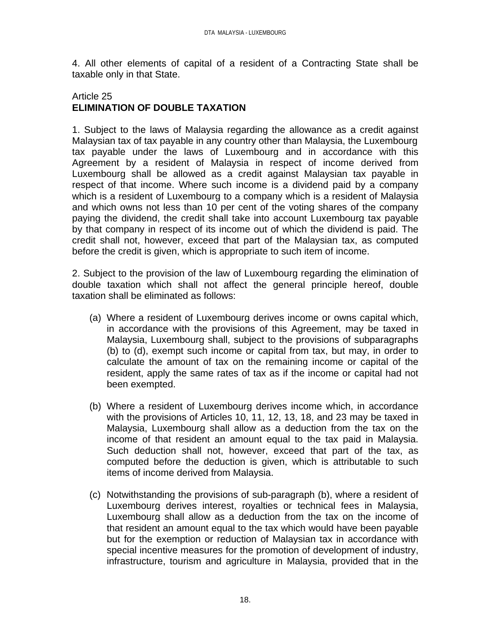4. All other elements of capital of a resident of a Contracting State shall be taxable only in that State.

#### Article 25 **ELIMINATION OF DOUBLE TAXATION**

1. Subject to the laws of Malaysia regarding the allowance as a credit against Malaysian tax of tax payable in any country other than Malaysia, the Luxembourg tax payable under the laws of Luxembourg and in accordance with this Agreement by a resident of Malaysia in respect of income derived from Luxembourg shall be allowed as a credit against Malaysian tax payable in respect of that income. Where such income is a dividend paid by a company which is a resident of Luxembourg to a company which is a resident of Malaysia and which owns not less than 10 per cent of the voting shares of the company paying the dividend, the credit shall take into account Luxembourg tax payable by that company in respect of its income out of which the dividend is paid. The credit shall not, however, exceed that part of the Malaysian tax, as computed before the credit is given, which is appropriate to such item of income.

2. Subject to the provision of the law of Luxembourg regarding the elimination of double taxation which shall not affect the general principle hereof, double taxation shall be eliminated as follows:

- (a) Where a resident of Luxembourg derives income or owns capital which, in accordance with the provisions of this Agreement, may be taxed in Malaysia, Luxembourg shall, subject to the provisions of subparagraphs (b) to (d), exempt such income or capital from tax, but may, in order to calculate the amount of tax on the remaining income or capital of the resident, apply the same rates of tax as if the income or capital had not been exempted.
- (b) Where a resident of Luxembourg derives income which, in accordance with the provisions of Articles 10, 11, 12, 13, 18, and 23 may be taxed in Malaysia, Luxembourg shall allow as a deduction from the tax on the income of that resident an amount equal to the tax paid in Malaysia. Such deduction shall not, however, exceed that part of the tax, as computed before the deduction is given, which is attributable to such items of income derived from Malaysia.
- (c) Notwithstanding the provisions of sub-paragraph (b), where a resident of Luxembourg derives interest, royalties or technical fees in Malaysia, Luxembourg shall allow as a deduction from the tax on the income of that resident an amount equal to the tax which would have been payable but for the exemption or reduction of Malaysian tax in accordance with special incentive measures for the promotion of development of industry, infrastructure, tourism and agriculture in Malaysia, provided that in the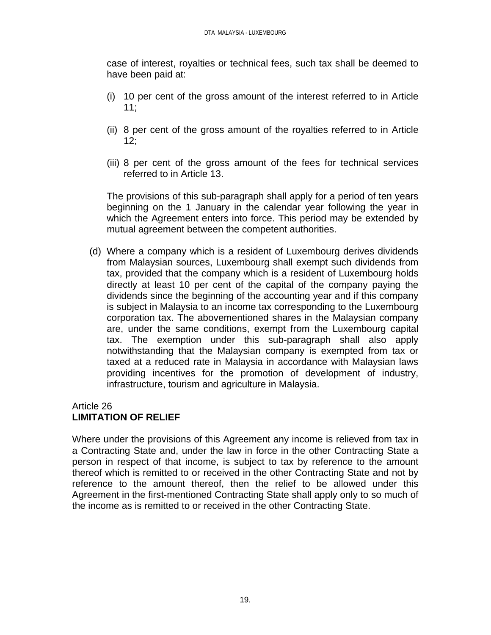case of interest, royalties or technical fees, such tax shall be deemed to have been paid at:

- (i) 10 per cent of the gross amount of the interest referred to in Article 11;
- (ii) 8 per cent of the gross amount of the royalties referred to in Article 12;
- (iii) 8 per cent of the gross amount of the fees for technical services referred to in Article 13.

The provisions of this sub-paragraph shall apply for a period of ten years beginning on the 1 January in the calendar year following the year in which the Agreement enters into force. This period may be extended by mutual agreement between the competent authorities.

(d) Where a company which is a resident of Luxembourg derives dividends from Malaysian sources, Luxembourg shall exempt such dividends from tax, provided that the company which is a resident of Luxembourg holds directly at least 10 per cent of the capital of the company paying the dividends since the beginning of the accounting year and if this company is subject in Malaysia to an income tax corresponding to the Luxembourg corporation tax. The abovementioned shares in the Malaysian company are, under the same conditions, exempt from the Luxembourg capital tax. The exemption under this sub-paragraph shall also apply notwithstanding that the Malaysian company is exempted from tax or taxed at a reduced rate in Malaysia in accordance with Malaysian laws providing incentives for the promotion of development of industry, infrastructure, tourism and agriculture in Malaysia.

# Article 26 **LIMITATION OF RELIEF**

Where under the provisions of this Agreement any income is relieved from tax in a Contracting State and, under the law in force in the other Contracting State a person in respect of that income, is subject to tax by reference to the amount thereof which is remitted to or received in the other Contracting State and not by reference to the amount thereof, then the relief to be allowed under this Agreement in the first-mentioned Contracting State shall apply only to so much of the income as is remitted to or received in the other Contracting State.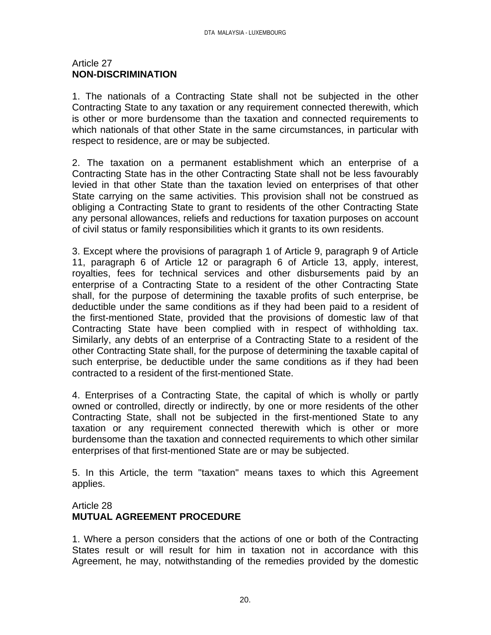#### Article 27 **NON-DISCRIMINATION**

1. The nationals of a Contracting State shall not be subjected in the other Contracting State to any taxation or any requirement connected therewith, which is other or more burdensome than the taxation and connected requirements to which nationals of that other State in the same circumstances, in particular with respect to residence, are or may be subjected.

2. The taxation on a permanent establishment which an enterprise of a Contracting State has in the other Contracting State shall not be less favourably levied in that other State than the taxation levied on enterprises of that other State carrying on the same activities. This provision shall not be construed as obliging a Contracting State to grant to residents of the other Contracting State any personal allowances, reliefs and reductions for taxation purposes on account of civil status or family responsibilities which it grants to its own residents.

3. Except where the provisions of paragraph 1 of Article 9, paragraph 9 of Article 11, paragraph 6 of Article 12 or paragraph 6 of Article 13, apply, interest, royalties, fees for technical services and other disbursements paid by an enterprise of a Contracting State to a resident of the other Contracting State shall, for the purpose of determining the taxable profits of such enterprise, be deductible under the same conditions as if they had been paid to a resident of the first-mentioned State, provided that the provisions of domestic law of that Contracting State have been complied with in respect of withholding tax. Similarly, any debts of an enterprise of a Contracting State to a resident of the other Contracting State shall, for the purpose of determining the taxable capital of such enterprise, be deductible under the same conditions as if they had been contracted to a resident of the first-mentioned State.

4. Enterprises of a Contracting State, the capital of which is wholly or partly owned or controlled, directly or indirectly, by one or more residents of the other Contracting State, shall not be subjected in the first-mentioned State to any taxation or any requirement connected therewith which is other or more burdensome than the taxation and connected requirements to which other similar enterprises of that first-mentioned State are or may be subjected.

5. In this Article, the term "taxation" means taxes to which this Agreement applies.

# Article 28 **MUTUAL AGREEMENT PROCEDURE**

1. Where a person considers that the actions of one or both of the Contracting States result or will result for him in taxation not in accordance with this Agreement, he may, notwithstanding of the remedies provided by the domestic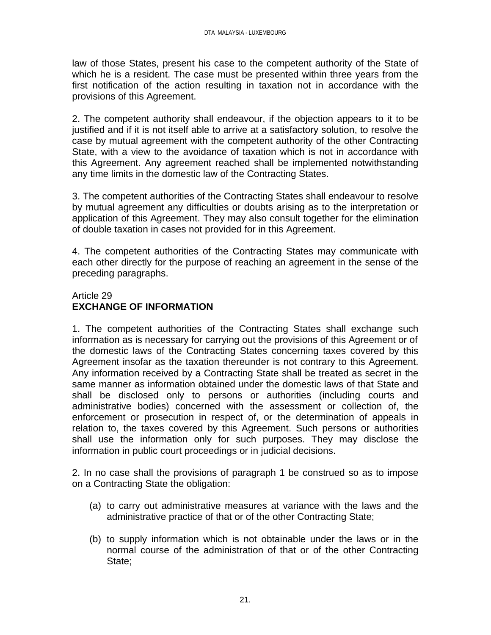law of those States, present his case to the competent authority of the State of which he is a resident. The case must be presented within three years from the first notification of the action resulting in taxation not in accordance with the provisions of this Agreement.

2. The competent authority shall endeavour, if the objection appears to it to be justified and if it is not itself able to arrive at a satisfactory solution, to resolve the case by mutual agreement with the competent authority of the other Contracting State, with a view to the avoidance of taxation which is not in accordance with this Agreement. Any agreement reached shall be implemented notwithstanding any time limits in the domestic law of the Contracting States.

3. The competent authorities of the Contracting States shall endeavour to resolve by mutual agreement any difficulties or doubts arising as to the interpretation or application of this Agreement. They may also consult together for the elimination of double taxation in cases not provided for in this Agreement.

4. The competent authorities of the Contracting States may communicate with each other directly for the purpose of reaching an agreement in the sense of the preceding paragraphs.

# Article 29 **EXCHANGE OF INFORMATION**

1. The competent authorities of the Contracting States shall exchange such information as is necessary for carrying out the provisions of this Agreement or of the domestic laws of the Contracting States concerning taxes covered by this Agreement insofar as the taxation thereunder is not contrary to this Agreement. Any information received by a Contracting State shall be treated as secret in the same manner as information obtained under the domestic laws of that State and shall be disclosed only to persons or authorities (including courts and administrative bodies) concerned with the assessment or collection of, the enforcement or prosecution in respect of, or the determination of appeals in relation to, the taxes covered by this Agreement. Such persons or authorities shall use the information only for such purposes. They may disclose the information in public court proceedings or in judicial decisions.

2. In no case shall the provisions of paragraph 1 be construed so as to impose on a Contracting State the obligation:

- (a) to carry out administrative measures at variance with the laws and the administrative practice of that or of the other Contracting State;
- (b) to supply information which is not obtainable under the laws or in the normal course of the administration of that or of the other Contracting State;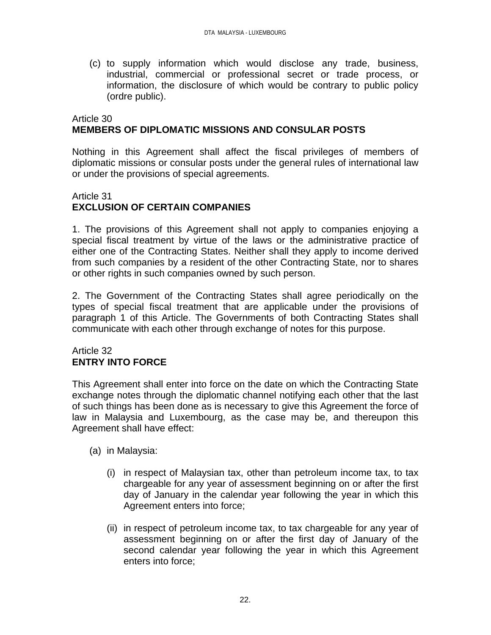(c) to supply information which would disclose any trade, business, industrial, commercial or professional secret or trade process, or information, the disclosure of which would be contrary to public policy (ordre public).

# Article 30 **MEMBERS OF DIPLOMATIC MISSIONS AND CONSULAR POSTS**

Nothing in this Agreement shall affect the fiscal privileges of members of diplomatic missions or consular posts under the general rules of international law or under the provisions of special agreements.

# Article 31 **EXCLUSION OF CERTAIN COMPANIES**

1. The provisions of this Agreement shall not apply to companies enjoying a special fiscal treatment by virtue of the laws or the administrative practice of either one of the Contracting States. Neither shall they apply to income derived from such companies by a resident of the other Contracting State, nor to shares or other rights in such companies owned by such person.

2. The Government of the Contracting States shall agree periodically on the types of special fiscal treatment that are applicable under the provisions of paragraph 1 of this Article. The Governments of both Contracting States shall communicate with each other through exchange of notes for this purpose.

# Article 32 **ENTRY INTO FORCE**

This Agreement shall enter into force on the date on which the Contracting State exchange notes through the diplomatic channel notifying each other that the last of such things has been done as is necessary to give this Agreement the force of law in Malaysia and Luxembourg, as the case may be, and thereupon this Agreement shall have effect:

- (a) in Malaysia:
	- (i) in respect of Malaysian tax, other than petroleum income tax, to tax chargeable for any year of assessment beginning on or after the first day of January in the calendar year following the year in which this Agreement enters into force;
	- (ii) in respect of petroleum income tax, to tax chargeable for any year of assessment beginning on or after the first day of January of the second calendar year following the year in which this Agreement enters into force;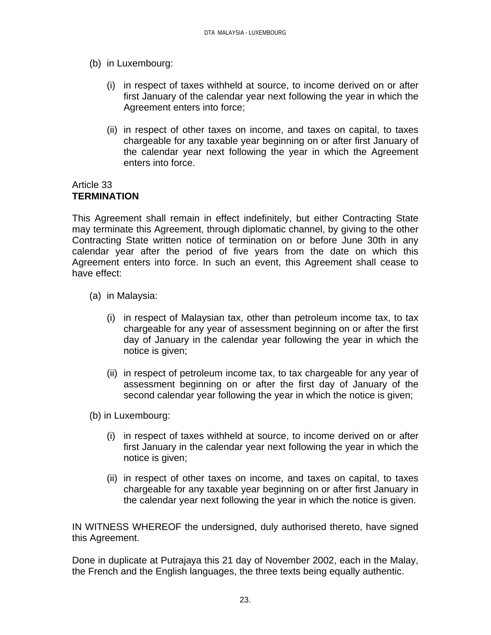- (b) in Luxembourg:
	- (i) in respect of taxes withheld at source, to income derived on or after first January of the calendar year next following the year in which the Agreement enters into force;
	- (ii) in respect of other taxes on income, and taxes on capital, to taxes chargeable for any taxable year beginning on or after first January of the calendar year next following the year in which the Agreement enters into force.

# Article 33 **TERMINATION**

This Agreement shall remain in effect indefinitely, but either Contracting State may terminate this Agreement, through diplomatic channel, by giving to the other Contracting State written notice of termination on or before June 30th in any calendar year after the period of five years from the date on which this Agreement enters into force. In such an event, this Agreement shall cease to have effect:

- (a) in Malaysia:
	- (i) in respect of Malaysian tax, other than petroleum income tax, to tax chargeable for any year of assessment beginning on or after the first day of January in the calendar year following the year in which the notice is given;
	- (ii) in respect of petroleum income tax, to tax chargeable for any year of assessment beginning on or after the first day of January of the second calendar year following the year in which the notice is given;

(b) in Luxembourg:

- (i) in respect of taxes withheld at source, to income derived on or after first January in the calendar year next following the year in which the notice is given;
- (ii) in respect of other taxes on income, and taxes on capital, to taxes chargeable for any taxable year beginning on or after first January in the calendar year next following the year in which the notice is given.

IN WITNESS WHEREOF the undersigned, duly authorised thereto, have signed this Agreement.

Done in duplicate at Putrajaya this 21 day of November 2002, each in the Malay, the French and the English languages, the three texts being equally authentic.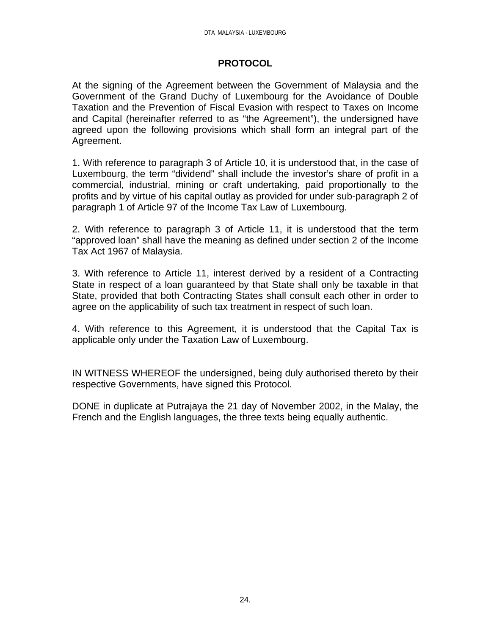# **PROTOCOL**

At the signing of the Agreement between the Government of Malaysia and the Government of the Grand Duchy of Luxembourg for the Avoidance of Double Taxation and the Prevention of Fiscal Evasion with respect to Taxes on Income and Capital (hereinafter referred to as "the Agreement"), the undersigned have agreed upon the following provisions which shall form an integral part of the Agreement.

1. With reference to paragraph 3 of Article 10, it is understood that, in the case of Luxembourg, the term "dividend" shall include the investor's share of profit in a commercial, industrial, mining or craft undertaking, paid proportionally to the profits and by virtue of his capital outlay as provided for under sub-paragraph 2 of paragraph 1 of Article 97 of the Income Tax Law of Luxembourg.

2. With reference to paragraph 3 of Article 11, it is understood that the term "approved loan" shall have the meaning as defined under section 2 of the Income Tax Act 1967 of Malaysia.

3. With reference to Article 11, interest derived by a resident of a Contracting State in respect of a loan guaranteed by that State shall only be taxable in that State, provided that both Contracting States shall consult each other in order to agree on the applicability of such tax treatment in respect of such loan.

4. With reference to this Agreement, it is understood that the Capital Tax is applicable only under the Taxation Law of Luxembourg.

IN WITNESS WHEREOF the undersigned, being duly authorised thereto by their respective Governments, have signed this Protocol.

DONE in duplicate at Putrajaya the 21 day of November 2002, in the Malay, the French and the English languages, the three texts being equally authentic.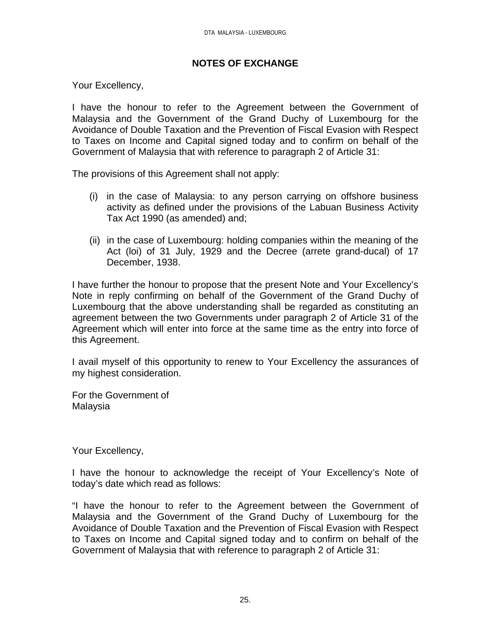### **NOTES OF EXCHANGE**

Your Excellency,

I have the honour to refer to the Agreement between the Government of Malaysia and the Government of the Grand Duchy of Luxembourg for the Avoidance of Double Taxation and the Prevention of Fiscal Evasion with Respect to Taxes on Income and Capital signed today and to confirm on behalf of the Government of Malaysia that with reference to paragraph 2 of Article 31:

The provisions of this Agreement shall not apply:

- (i) in the case of Malaysia: to any person carrying on offshore business activity as defined under the provisions of the Labuan Business Activity Tax Act 1990 (as amended) and;
- (ii) in the case of Luxembourg: holding companies within the meaning of the Act (loi) of 31 July, 1929 and the Decree (arrete grand-ducal) of 17 December, 1938.

I have further the honour to propose that the present Note and Your Excellency's Note in reply confirming on behalf of the Government of the Grand Duchy of Luxembourg that the above understanding shall be regarded as constituting an agreement between the two Governments under paragraph 2 of Article 31 of the Agreement which will enter into force at the same time as the entry into force of this Agreement.

I avail myself of this opportunity to renew to Your Excellency the assurances of my highest consideration.

For the Government of Malaysia

Your Excellency,

I have the honour to acknowledge the receipt of Your Excellency's Note of today's date which read as follows:

"I have the honour to refer to the Agreement between the Government of Malaysia and the Government of the Grand Duchy of Luxembourg for the Avoidance of Double Taxation and the Prevention of Fiscal Evasion with Respect to Taxes on Income and Capital signed today and to confirm on behalf of the Government of Malaysia that with reference to paragraph 2 of Article 31: